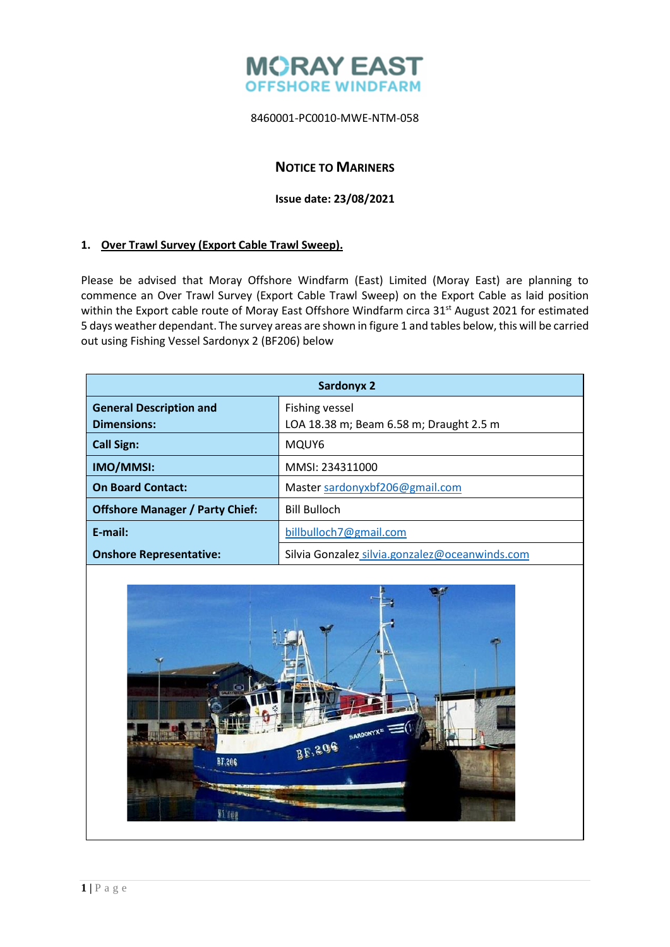

# **NOTICE TO MARINERS**

### **Issue date: 23/08/2021**

## **1. Over Trawl Survey (Export Cable Trawl Sweep).**

Please be advised that Moray Offshore Windfarm (East) Limited (Moray East) are planning to commence an Over Trawl Survey (Export Cable Trawl Sweep) on the Export Cable as laid position within the Export cable route of Moray East Offshore Windfarm circa 31<sup>st</sup> August 2021 for estimated 5 days weather dependant. The survey areas are shown in figure 1 and tables below, this will be carried out using Fishing Vessel Sardonyx 2 (BF206) below

| <b>Sardonyx 2</b>                                    |                                                           |  |
|------------------------------------------------------|-----------------------------------------------------------|--|
| <b>General Description and</b><br><b>Dimensions:</b> | Fishing vessel<br>LOA 18.38 m; Beam 6.58 m; Draught 2.5 m |  |
| <b>Call Sign:</b>                                    | MQUY6                                                     |  |
| IMO/MMSI:                                            | MMSI: 234311000                                           |  |
| <b>On Board Contact:</b>                             | Master sardonyxbf206@gmail.com                            |  |
| <b>Offshore Manager / Party Chief:</b>               | <b>Bill Bulloch</b>                                       |  |
| $E$ -mail:                                           | billbulloch7@gmail.com                                    |  |
| <b>Onshore Representative:</b>                       | Silvia Gonzalez silvia.gonzalez@oceanwinds.com            |  |

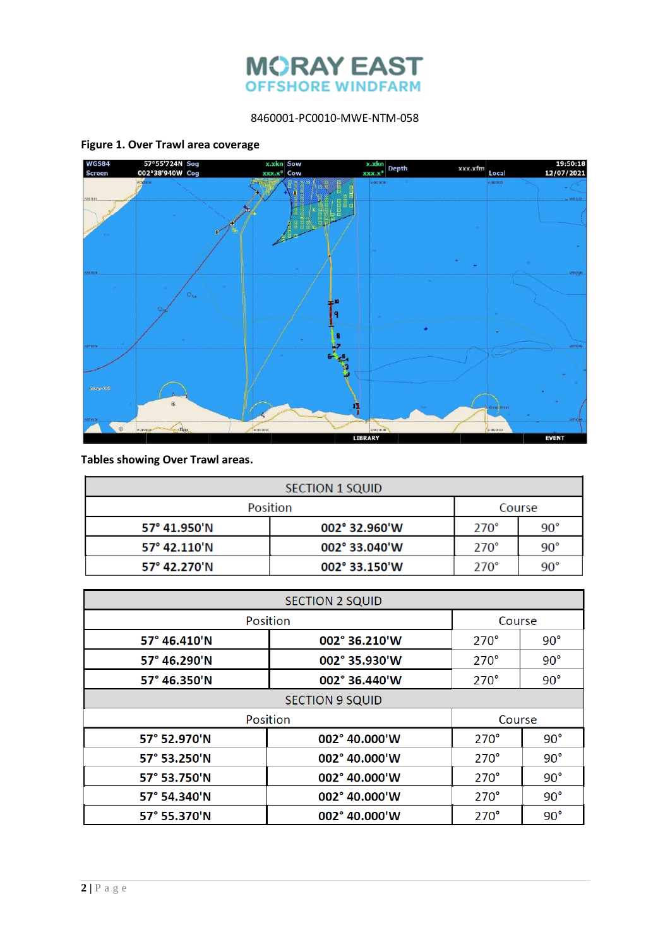

#### **Figure 1. Over Trawl area coverage**



**Tables showing Over Trawl areas.**

| SECTION 1 SQUID |               |             |              |
|-----------------|---------------|-------------|--------------|
| <b>Position</b> |               | Course      |              |
| 57° 41.950'N    | 002° 32.960'W | $270^\circ$ | $90^{\circ}$ |
| 57° 42.110'N    | 002° 33.040'W | $270^\circ$ | $90^{\circ}$ |
| 57° 42.270'N    | 002° 33.150'W | $270^\circ$ | $90^{\circ}$ |

| <b>SECTION 2 SQUID</b> |                        |             |              |
|------------------------|------------------------|-------------|--------------|
| Position               |                        | Course      |              |
| 57° 46.410'N           | 002° 36.210'W          | $270^\circ$ | $90^{\circ}$ |
| 57° 46.290'N           | 002° 35.930'W          | $270^\circ$ | $90^{\circ}$ |
| 57° 46.350'N           | 002° 36.440'W          | $270^\circ$ | $90^{\circ}$ |
| <b>SECTION 9 SQUID</b> |                        |             |              |
|                        | Position               | Course      |              |
| 57° 52.970'N           | 002° 40.000'W          | $270^\circ$ | $90^{\circ}$ |
| 57° 53.250'N           | 002° 40.000'W          | $270^\circ$ | $90^{\circ}$ |
| 57° 53.750'N           | $002^{\circ}$ 40.000'W | $270^\circ$ | $90^{\circ}$ |
| 57° 54.340'N           | $002^{\circ}$ 40.000'W | $270^\circ$ | $90^{\circ}$ |
| 57° 55.370'N           | $002^{\circ}$ 40.000'W | $270^\circ$ | $90^{\circ}$ |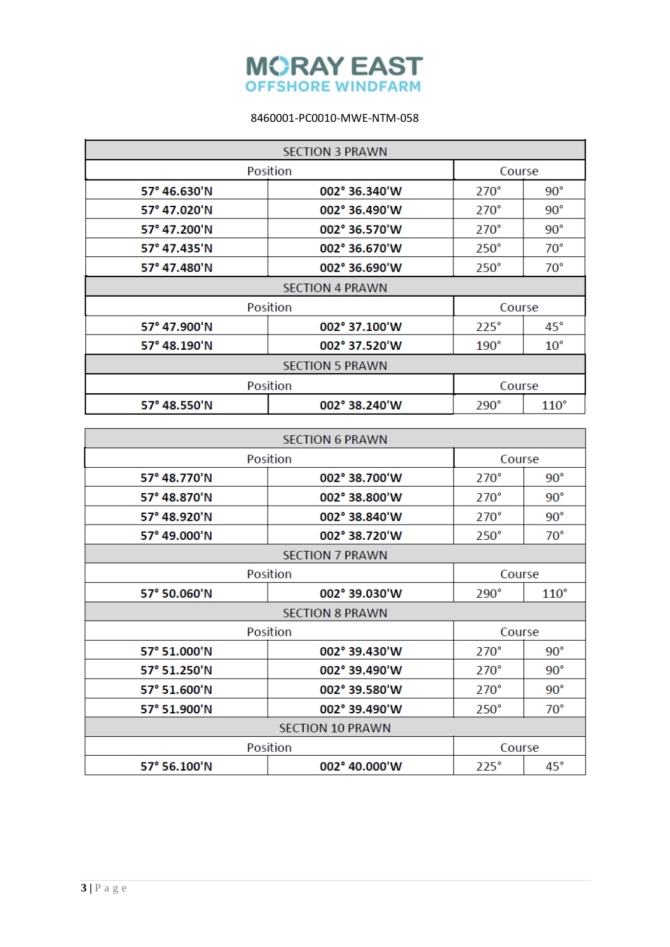

| <b>SECTION 3 PRAWN</b> |               |             |               |
|------------------------|---------------|-------------|---------------|
| Position               |               | Course      |               |
| 57° 46.630'N           | 002° 36.340'W | $270^\circ$ | $90^{\circ}$  |
| 57° 47.020'N           | 002° 36.490'W | $270^\circ$ | $90^{\circ}$  |
| 57° 47.200'N           | 002° 36.570'W | $270^\circ$ | $90^{\circ}$  |
| 57° 47.435'N           | 002° 36.670'W | $250^\circ$ | $70^{\circ}$  |
| 57° 47.480'N           | 002° 36.690'W | $250^\circ$ | $70^{\circ}$  |
| <b>SECTION 4 PRAWN</b> |               |             |               |
|                        | Position      | Course      |               |
| 57° 47.900'N           | 002° 37.100'W | $225^\circ$ | 45°           |
| 57° 48.190'N           | 002° 37.520'W | $190^\circ$ | $10^{\circ}$  |
| <b>SECTION 5 PRAWN</b> |               |             |               |
|                        | Position      | Course      |               |
| 57° 48.550'N           | 002° 38.240'W | $290^\circ$ | $110^{\circ}$ |

|                         | <b>SECTION 6 PRAWN</b> |             |               |  |
|-------------------------|------------------------|-------------|---------------|--|
| Position                |                        |             | Course        |  |
| 57° 48.770'N            | $002^{\circ}$ 38.700'W | $270^\circ$ | $90^{\circ}$  |  |
| 57° 48.870'N            | 002° 38.800'W          | $270^\circ$ | $90^{\circ}$  |  |
| 57° 48.920'N            | 002° 38.840'W          | $270^\circ$ | $90^{\circ}$  |  |
| 57° 49.000'N            | 002° 38.720'W          | $250^\circ$ | $70^{\circ}$  |  |
| <b>SECTION 7 PRAWN</b>  |                        |             |               |  |
|                         | <b>Position</b>        | Course      |               |  |
| 57° 50.060'N            | 002° 39.030'W          | $290^\circ$ | $110^{\circ}$ |  |
| <b>SECTION 8 PRAWN</b>  |                        |             |               |  |
|                         | Position               | Course      |               |  |
| 57° 51.000'N            | 002° 39.430'W          | $270^\circ$ | $90^{\circ}$  |  |
| 57° 51.250'N            | 002° 39.490'W          | $270^\circ$ | $90^{\circ}$  |  |
| 57° 51.600'N            | 002° 39.580'W          | $270^\circ$ | $90^{\circ}$  |  |
| 57° 51.900'N            | 002° 39.490'W          | $250^\circ$ | $70^{\circ}$  |  |
| <b>SECTION 10 PRAWN</b> |                        |             |               |  |
|                         | Position               | Course      |               |  |
| 57° 56.100'N            | 002° 40.000'W          | $225^\circ$ | $45^{\circ}$  |  |